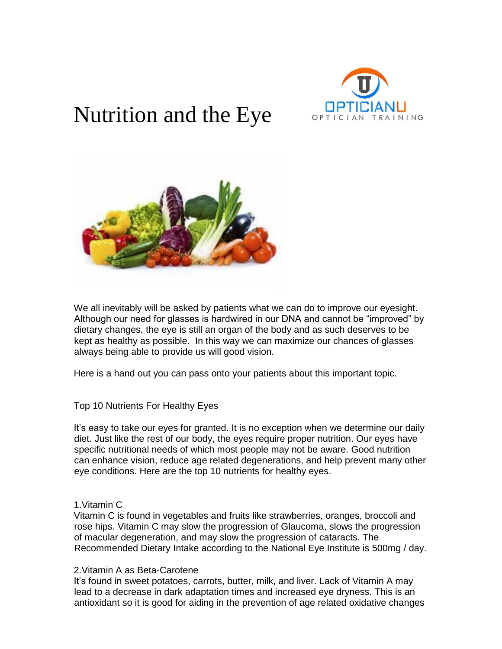

# Nutrition and the Eye



We all inevitably will be asked by patients what we can do to improve our eyesight. Although our need for glasses is hardwired in our DNA and cannot be "improved" by dietary changes, the eye is still an organ of the body and as such deserves to be kept as healthy as possible. In this way we can maximize our chances of glasses always being able to provide us will good vision.

Here is a hand out you can pass onto your patients about this important topic.

# Top 10 Nutrients For Healthy Eyes

It's easy to take our eyes for granted. It is no exception when we determine our daily diet. Just like the rest of our body, the eyes require proper nutrition. Our eyes have specific nutritional needs of which most people may not be aware. Good nutrition can enhance vision, reduce age related degenerations, and help prevent many other eye conditions. Here are the top 10 nutrients for healthy eyes.

## 1.Vitamin C

Vitamin C is found in vegetables and fruits like strawberries, oranges, broccoli and rose hips. Vitamin C may slow the progression of Glaucoma, slows the progression of macular degeneration, and may slow the progression of cataracts. The Recommended Dietary Intake according to the National Eye Institute is 500mg / day.

### 2.Vitamin A as Beta-Carotene

It's found in sweet potatoes, carrots, butter, milk, and liver. Lack of Vitamin A may lead to a decrease in dark adaptation times and increased eye dryness. This is an antioxidant so it is good for aiding in the prevention of age related oxidative changes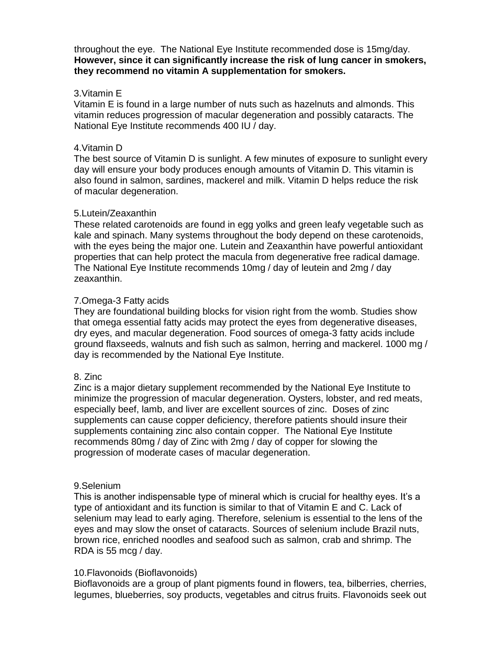throughout the eye. The National Eye Institute recommended dose is 15mg/day. **However, since it can significantly increase the risk of lung cancer in smokers, they recommend no vitamin A supplementation for smokers.**

## 3.Vitamin E

Vitamin E is found in a large number of nuts such as hazelnuts and almonds. This vitamin reduces progression of macular degeneration and possibly cataracts. The National Eye Institute recommends 400 IU / day.

## 4.Vitamin D

The best source of Vitamin D is sunlight. A few minutes of exposure to sunlight every day will ensure your body produces enough amounts of Vitamin D. This vitamin is also found in salmon, sardines, mackerel and milk. Vitamin D helps reduce the risk of macular degeneration.

## 5.Lutein/Zeaxanthin

These related carotenoids are found in egg yolks and green leafy vegetable such as kale and spinach. Many systems throughout the body depend on these carotenoids, with the eyes being the major one. Lutein and Zeaxanthin have powerful antioxidant properties that can help protect the macula from degenerative free radical damage. The National Eye Institute recommends 10mg / day of leutein and 2mg / day zeaxanthin.

# 7.Omega-3 Fatty acids

They are foundational building blocks for vision right from the womb. Studies show that omega essential fatty acids may protect the eyes from degenerative diseases, dry eyes, and macular degeneration. Food sources of omega-3 fatty acids include ground flaxseeds, walnuts and fish such as salmon, herring and mackerel. 1000 mg / day is recommended by the National Eye Institute.

# 8. Zinc

Zinc is a major dietary supplement recommended by the National Eye Institute to minimize the progression of macular degeneration. Oysters, lobster, and red meats, especially beef, lamb, and liver are excellent sources of zinc. Doses of zinc supplements can cause copper deficiency, therefore patients should insure their supplements containing zinc also contain copper. The National Eye Institute recommends 80mg / day of Zinc with 2mg / day of copper for slowing the progression of moderate cases of macular degeneration.

### 9.Selenium

This is another indispensable type of mineral which is crucial for healthy eyes. It's a type of antioxidant and its function is similar to that of Vitamin E and C. Lack of selenium may lead to early aging. Therefore, selenium is essential to the lens of the eyes and may slow the onset of cataracts. Sources of selenium include Brazil nuts, brown rice, enriched noodles and seafood such as salmon, crab and shrimp. The RDA is 55 mcg / day.

# 10.Flavonoids (Bioflavonoids)

Bioflavonoids are a group of plant pigments found in flowers, tea, bilberries, cherries, legumes, blueberries, soy products, vegetables and citrus fruits. Flavonoids seek out